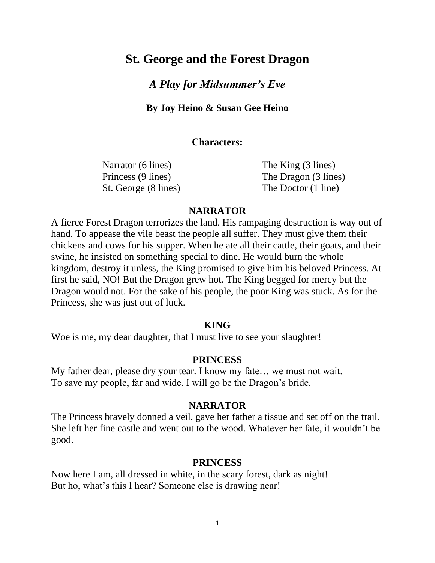# **St. George and the Forest Dragon**

## *A Play for Midsummer's Eve*

**By Joy Heino & Susan Gee Heino**

#### **Characters:**

Narrator (6 lines) The King (3 lines) St. George (8 lines) The Doctor (1 line)

Princess (9 lines) The Dragon (3 lines)

#### **NARRATOR**

A fierce Forest Dragon terrorizes the land. His rampaging destruction is way out of hand. To appease the vile beast the people all suffer. They must give them their chickens and cows for his supper. When he ate all their cattle, their goats, and their swine, he insisted on something special to dine. He would burn the whole kingdom, destroy it unless, the King promised to give him his beloved Princess. At first he said, NO! But the Dragon grew hot. The King begged for mercy but the Dragon would not. For the sake of his people, the poor King was stuck. As for the Princess, she was just out of luck.

#### **KING**

Woe is me, my dear daughter, that I must live to see your slaughter!

#### **PRINCESS**

My father dear, please dry your tear. I know my fate… we must not wait. To save my people, far and wide, I will go be the Dragon's bride.

#### **NARRATOR**

The Princess bravely donned a veil, gave her father a tissue and set off on the trail. She left her fine castle and went out to the wood. Whatever her fate, it wouldn't be good.

#### **PRINCESS**

Now here I am, all dressed in white, in the scary forest, dark as night! But ho, what's this I hear? Someone else is drawing near!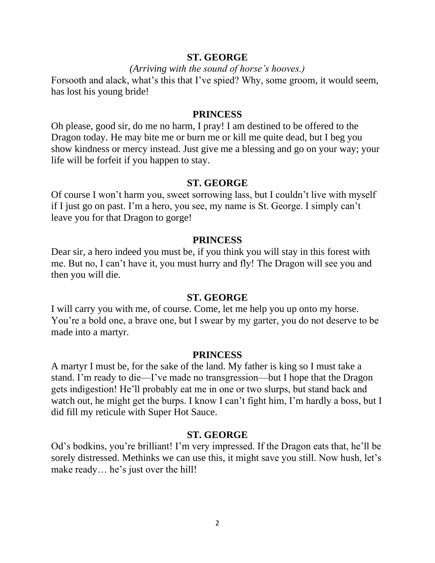## **ST. GEORGE**

#### *(Arriving with the sound of horse's hooves.)*

Forsooth and alack, what's this that I've spied? Why, some groom, it would seem, has lost his young bride!

#### **PRINCESS**

Oh please, good sir, do me no harm, I pray! I am destined to be offered to the Dragon today. He may bite me or burn me or kill me quite dead, but I beg you show kindness or mercy instead. Just give me a blessing and go on your way; your life will be forfeit if you happen to stay.

#### **ST. GEORGE**

Of course I won't harm you, sweet sorrowing lass, but I couldn't live with myself if I just go on past. I'm a hero, you see, my name is St. George. I simply can't leave you for that Dragon to gorge!

#### **PRINCESS**

Dear sir, a hero indeed you must be, if you think you will stay in this forest with me. But no, I can't have it, you must hurry and fly! The Dragon will see you and then you will die.

#### **ST. GEORGE**

I will carry you with me, of course. Come, let me help you up onto my horse. You're a bold one, a brave one, but I swear by my garter, you do not deserve to be made into a martyr.

#### **PRINCESS**

A martyr I must be, for the sake of the land. My father is king so I must take a stand. I'm ready to die—I've made no transgression—but I hope that the Dragon gets indigestion! He'll probably eat me in one or two slurps, but stand back and watch out, he might get the burps. I know I can't fight him, I'm hardly a boss, but I did fill my reticule with Super Hot Sauce.

#### **ST. GEORGE**

Od's bodkins, you're brilliant! I'm very impressed. If the Dragon eats that, he'll be sorely distressed. Methinks we can use this, it might save you still. Now hush, let's make ready… he's just over the hill!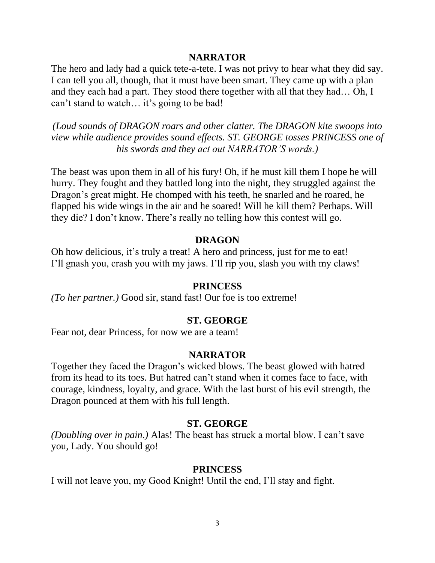## **NARRATOR**

The hero and lady had a quick tete-a-tete. I was not privy to hear what they did say. I can tell you all, though, that it must have been smart. They came up with a plan and they each had a part. They stood there together with all that they had… Oh, I can't stand to watch… it's going to be bad!

*(Loud sounds of DRAGON roars and other clatter. The DRAGON kite swoops into view while audience provides sound effects. ST. GEORGE tosses PRINCESS one of his swords and they act out NARRATOR'S words.)*

The beast was upon them in all of his fury! Oh, if he must kill them I hope he will hurry. They fought and they battled long into the night, they struggled against the Dragon's great might. He chomped with his teeth, he snarled and he roared, he flapped his wide wings in the air and he soared! Will he kill them? Perhaps. Will they die? I don't know. There's really no telling how this contest will go.

#### **DRAGON**

Oh how delicious, it's truly a treat! A hero and princess, just for me to eat! I'll gnash you, crash you with my jaws. I'll rip you, slash you with my claws!

#### **PRINCESS**

*(To her partner.)* Good sir, stand fast! Our foe is too extreme!

#### **ST. GEORGE**

Fear not, dear Princess, for now we are a team!

#### **NARRATOR**

Together they faced the Dragon's wicked blows. The beast glowed with hatred from its head to its toes. But hatred can't stand when it comes face to face, with courage, kindness, loyalty, and grace. With the last burst of his evil strength, the Dragon pounced at them with his full length.

#### **ST. GEORGE**

*(Doubling over in pain.)* Alas! The beast has struck a mortal blow. I can't save you, Lady. You should go!

#### **PRINCESS**

I will not leave you, my Good Knight! Until the end, I'll stay and fight.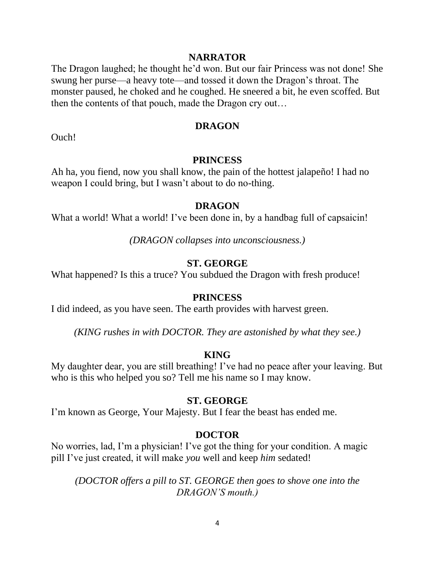## **NARRATOR**

The Dragon laughed; he thought he'd won. But our fair Princess was not done! She swung her purse—a heavy tote—and tossed it down the Dragon's throat. The monster paused, he choked and he coughed. He sneered a bit, he even scoffed. But then the contents of that pouch, made the Dragon cry out…

## **DRAGON**

Ouch!

## **PRINCESS**

Ah ha, you fiend, now you shall know, the pain of the hottest jalapeño! I had no weapon I could bring, but I wasn't about to do no-thing.

#### **DRAGON**

What a world! What a world! I've been done in, by a handbag full of capsaicin!

*(DRAGON collapses into unconsciousness.)*

## **ST. GEORGE**

What happened? Is this a truce? You subdued the Dragon with fresh produce!

## **PRINCESS**

I did indeed, as you have seen. The earth provides with harvest green.

*(KING rushes in with DOCTOR. They are astonished by what they see.)*

## **KING**

My daughter dear, you are still breathing! I've had no peace after your leaving. But who is this who helped you so? Tell me his name so I may know.

## **ST. GEORGE**

I'm known as George, Your Majesty. But I fear the beast has ended me.

## **DOCTOR**

No worries, lad, I'm a physician! I've got the thing for your condition. A magic pill I've just created, it will make *you* well and keep *him* sedated!

*(DOCTOR offers a pill to ST. GEORGE then goes to shove one into the DRAGON'S mouth.)*